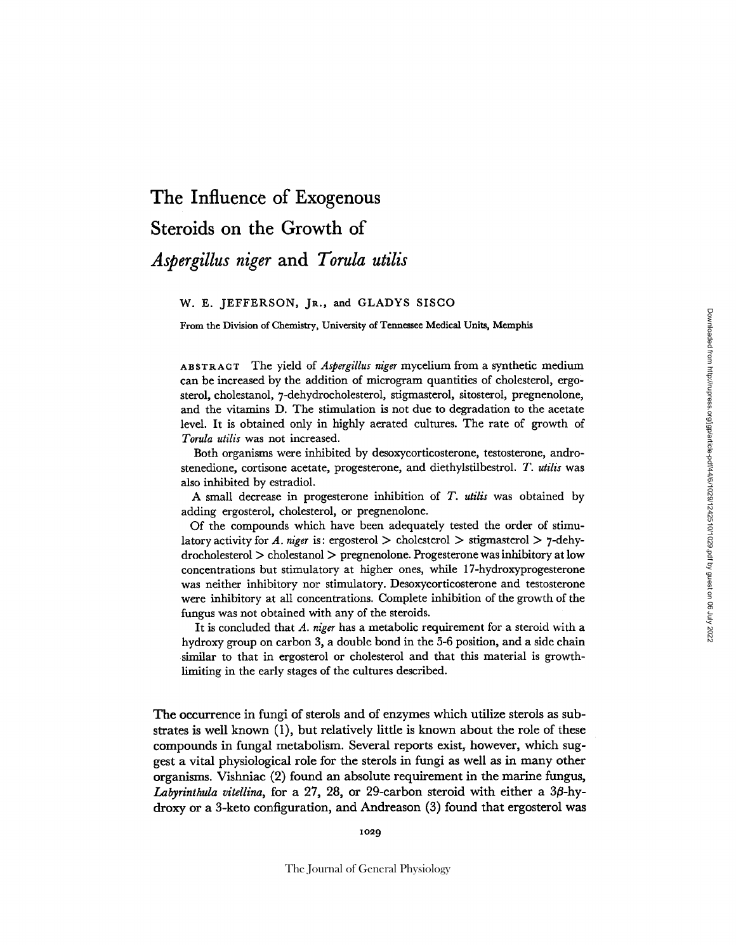# **The Influence of Exogenous Steroids on the Growth of**  *AspergiUus niger* **and** *Torula utilis*

# W. E. JEFFERSON, JR., and GLADYS SISCO

From the Division of Chemistry, University of Tennessee Medical Units, Memphis

ABSTRACT The yield of *AspergiUus niger* mycelium from a synthetic medium can be increased by the addition of microgram quantities of cholesterol, ergosterol, cholestanol, 7-dehydrocholesterol, stigmasterol, sitosterol, pregnenolone, and the vitamins D. The stimulation is not due to degradation to the acetate level. It is obtained only in highly aerated cultures. The rate of growth of *Torula utilis* was not increased.

Both organisms were inhibited by desoxycorticosterone, testosterone, androstenedione, cortisone acetate, progesterone, and diethylstilbestrol. *T. utilis* was also inhibited by estradiol.

A small decrease in progesterone inhibition of *T. utilis* was obtained by adding ergosterol, cholesterol, or pregnenolone.

Of the compounds which have been adequately tested the order of stimulatory activity for *A. niger* is: ergosterol > cholesterol > stigmasterol > 7-dehydrocholesterol > cholestanol > pregnenolone. Progesterone was inhibitory at low concentrations but stimulatory at higher ones, while 17-hydroxyprogesterone was neither inhibitory nor stimulatory. Desoxycorticosterone and testosterone were inhibitory at all concentrations. Complete inhibition of the growth of the fungus was not obtained with any of the steroids.

It is concluded that *A. niger* has a metabolic requirement for a steroid with a hydroxy group on carbon 3, a double bond in the 5-6 position, and a side chain similar to that in ergosterol or cholesterol and that this material is growthlimiting in the early stages of the cultures described.

The occurrence in fungi of sterols and of enzymes which utilize sterols as substrates is well known (1), but relatively little is known about the role of these compounds in fungal metabolism. Several reports exist, however, which suggest a vital physiological role for the sterols in fungi as well as in many other organisms. Vishniac (2) found an absolute requirement in the marine fungus, *Labyrinthula vitellina*, for a 27, 28, or 29-carbon steroid with either a  $3\beta$ -hydroxy or a 3-keto configuration, and Andreason (3) found that ergosterol was

**1029**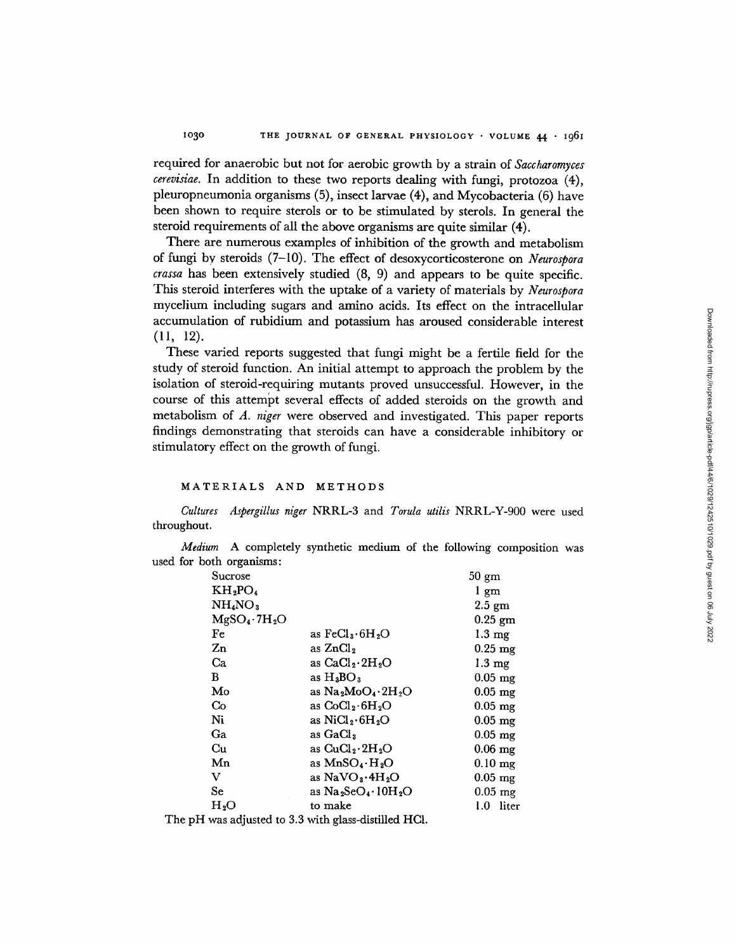required for anaerobic but not for aerobic growth by a strain of *Saccharomyces cerevisiae.* In addition to these two reports dealing with fungi, protozoa (4), pleuropneumonia organisms (5), insect larvae (4), and Mycobaeteria (6) have been shown to require sterols or to be stimulated by sterols. In general the steroid requirements of all the above organisms are quite similar (4).

There are numerous examples of inhibition of the growth and metabolism of fungi by steroids (7-10). The effect of desoxycorticosterone on *Neurospora crassa* has been extensively studied (8, 9) and appears to be quite specific. This steroid interferes with the uptake of a variety of materials by *Neurospora*  myceIium including sugars and amino acids. Its effect on the intracellular accumulation of rubidium and potassium has aroused considerable interest (11, 12).

These varied reports suggested that fungi might be a fertile field for the study of steroid function. An initial attempt to approach the problem by the isolation of steroid-requiring mutants proved unsuccessful. However, in the course of this attempt several effects of added steroids on the growth and metabolism of *A. niger* were observed and investigated. This paper reports findings demonstrating that steroids can have a considerable inhibitory or stimulatory effect on the growth of fungi.

## MATERIALS AND METHODS

*Cultures Aspergillus niger* NRRL-3 and *Torula utilis* NRRL-Y-900 were used throughout.

*Medium* A completely synthetic medium of the following composition was used for both organisms:

| Sucrose                         |                                         | $50 \text{ gm}$  |
|---------------------------------|-----------------------------------------|------------------|
| $KH_2PO_4$                      |                                         | l gm             |
| NH <sub>4</sub> NO <sub>3</sub> |                                         | $2.5$ gm         |
| $MgSO_4 \cdot 7H_2O$            |                                         | $0.25$ gm        |
| Fe                              | as $FeCl3·6H2O$                         | $1.3 \text{ mg}$ |
| Zn                              | as $ZnCl2$                              | $0.25$ mg        |
| Ca                              | as CaCl <sub>2</sub> .2H <sub>2</sub> O | $1.3 \text{ mg}$ |
| В                               | as $H_3BO_3$                            | $0.05$ mg        |
| Mo                              | as $Na_2MoO_4 \cdot 2H_2O$              | $0.05$ mg        |
| Co                              | as $CoCl2·6H2O$                         | $0.05$ mg        |
| Ni                              | as $NiCl2·6H2O$                         | $0.05$ mg        |
| Ga                              | as GaCl <sub>3</sub>                    | $0.05$ mg        |
| Cu                              | as $CuCl2·2H2O$                         | $0.06$ mg        |
| Mn                              | as $MnSO_4 \cdot H_2O$                  | $0.10$ mg        |
| v                               | as $NaVO_3.4H_2O$                       | $0.05$ mg        |
| Se                              | as $Na_2SeO_4 \cdot 10H_2O$             | $0.05$ mg        |
| $H_2O$                          | to make                                 | liter<br>1.0     |
|                                 |                                         |                  |

The pH was adjusted to 3.3 with glass-distilled HCI.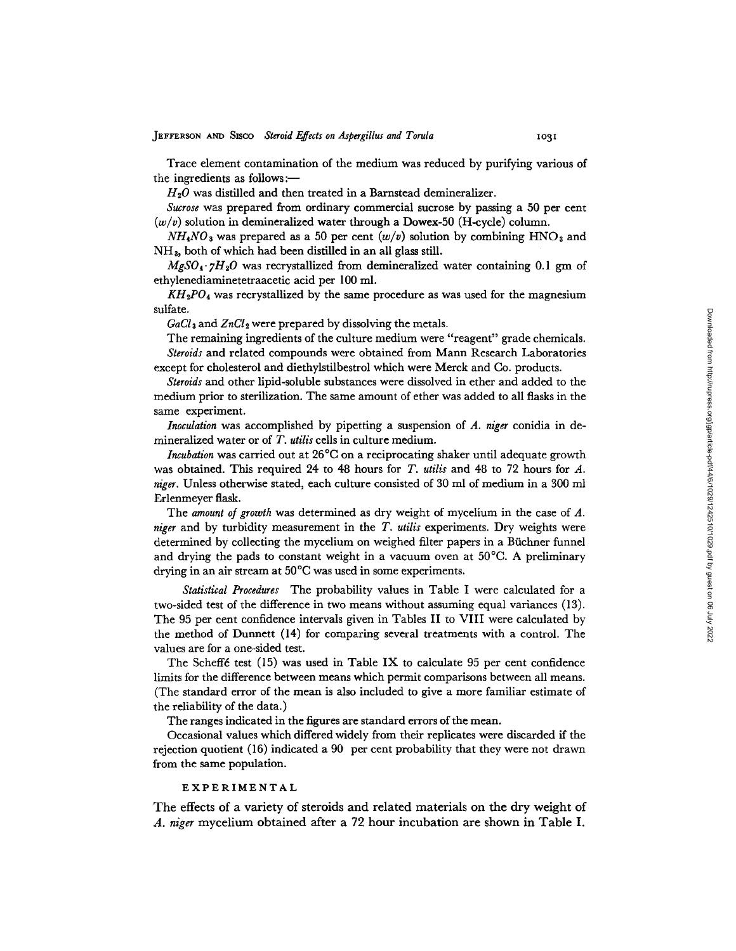Trace element contamination of the medium was reduced by purifying various of the ingredients as follows : $-$ 

*H20* was distilled and then treated in a Barnstead demineralizer.

*Sucrose* was prepared from ordinary commercial sucrose by passing a 50 per cent  $(w/v)$  solution in demineralized water through a Dowex-50 (H-cycle) column.

 $NH<sub>4</sub>NO<sub>3</sub>$  was prepared as a 50 per cent  $(w/v)$  solution by combining HNO<sub>3</sub> and NH3, both of which had been distilled in an all glass still.

 $MgSO_4$   $7H_2O$  was recrystallized from demineralized water containing 0.1 gm of ethylenediaminetetraacetic acid per 100 ml.

*KHzP04* was recrystallized by the same procedure as was used for the magnesium sulfate.

 $GaCl<sub>3</sub>$  and  $ZnCl<sub>2</sub>$  were prepared by dissolving the metals.

The remaining ingredients of the culture medium were "reagent" grade chemicals. *Steroids* and related compounds were obtained from Mann Research Laboratories except for cholesterol and diethylstilbestrol which were Merck and Co. products.

*Steroids* and other lipid-soluble substances were dissolved in ether and added to the medium prior to sterilization. The same amount of ether was added to all flasks in the same experiment.

*Inoculation* was accomplished by pipetting a suspension of *A. niger* conidia in demineralized water or of *T. utilis* cells in culture medium.

*Incubation* was carried out at 26°C on a reciprocating shaker until adequate growth was obtained. This required 24 to 48 hours for *T. utilis* and 48 to 72 hours for A. *niger.* Unless otherwise stated, each culture consisted of 30 ml of medium in a 300 ml Erlenmeyer flask.

The *amount of growth* was determined as dry weight of mycelium in the case of A. *niger* and by turbidity measurement in the *T. utilis* experiments. Dry weights were determined by collecting the mycelium on weighed filter papers in a Biichner funnel and drying the pads to constant weight in a vacuum oven at 50°C. A preliminary drying in an air stream at 50°C was used in some experiments.

*Statistical Procedures* The probability values in Table I were calculated for a two-sided test of the difference in two means without assuming equal variances (13). The 95 per cent confidence intervals given in Tables II to VIII were calculated by the method of Dunnett (14) for comparing several treatments with a control. The values are for a one-sided test.

The Scheffé test  $(15)$  was used in Table IX to calculate 95 per cent confidence limits for the difference between means which permit comparisons between all means. (The standard error of the mean is also included to give a more familiar estimate of the reliability of the data.)

The ranges indicated in the figures are standard errors of the mean.

Occasional values which differed widely from their replicates were discarded if the rejection quotient (16) indicated a 90 per cent probability that they were not drawn from the same population.

#### **EXPERIMENTAL**

The effects of a variety of steroids and related materials on the dry weight of *A. niger* mycelium obtained after a 72 hour incubation are shown in Table I.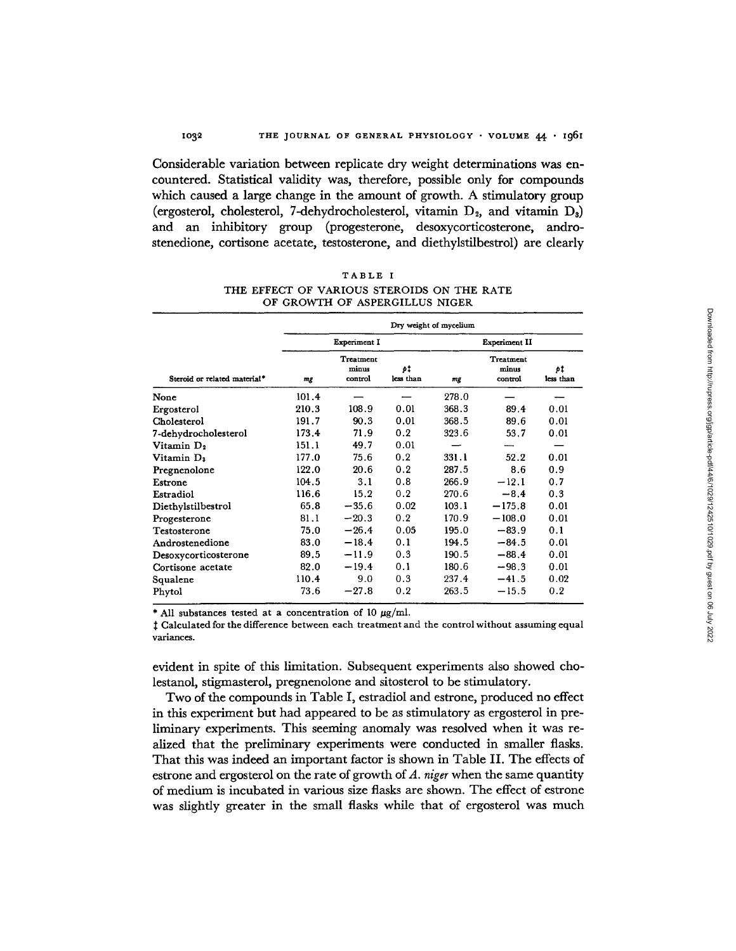Considerable variation between replicate dry weight determinations was encountered. Statistical validity was, therefore, possible only for compounds which caused a large change in the amount of growth. A stimulatory group (ergosterol, cholesterol, 7-dehydrocholesterol, vitamin  $D_2$ , and vitamin  $D_3$ ) and an inhibitory group (progesterone, desoxycorticosterone, androstenedione, cortisone acetate, testosterone, and diethylstilbestrol) are clearly

|                              | Dry weight of mycelium |                               |                  |       |                               |                  |  |
|------------------------------|------------------------|-------------------------------|------------------|-------|-------------------------------|------------------|--|
|                              |                        | Experiment I                  |                  |       | Experiment II                 |                  |  |
| Steroid or related material* | mg                     | Treatment<br>minus<br>control | pt.<br>less than | mg    | Treatment<br>minus<br>control | øt<br>less than  |  |
| None                         | 101.4                  |                               |                  | 278.0 |                               |                  |  |
| Ergosterol                   | 210.3                  | 108.9                         | 0.01             | 368.3 | 89.4                          | 0.01             |  |
| Cholesterol                  | 191.7                  | 90.3                          | 0.01             | 368.5 | 89.6                          | 0.01             |  |
| 7-dehydrocholesterol         | 173.4                  | 71.9                          | 0.2              | 323.6 | 53.7                          | 0.01             |  |
| Vitamin D <sub>2</sub>       | 151.1                  | 49.7                          | 0.01             |       |                               |                  |  |
| Vitamin D <sub>3</sub>       | 177.0                  | 75.6                          | 0.2              | 331.1 | 52.2                          | 0.01             |  |
| Pregnenolone                 | 122.0                  | 20.6                          | 0.2              | 287.5 | 8.6                           | 0.9              |  |
| Estrone                      | 104.5                  | 3.1                           | 0.8              | 266.9 | $-12.1$                       | 0.7              |  |
| Estradiol                    | 116.6                  | 15.2                          | 0.2              | 270.6 | $-8.4$                        | 0.3              |  |
| Diethylstilbestrol           | 65.8                   | $-35.6$                       | 0.02             | 103.1 | $-175.8$                      | 0.01             |  |
| Progesterone                 | 81.1                   | $-20.3$                       | 0.2              | 170.9 | $-108.0$                      | 0.01             |  |
| Testosterone                 | 75.0                   | $-26.4$                       | 0.05             | 195.0 | $-83.9$                       | 0.1              |  |
| Androstenedione              | 83.0                   | $-18.4$                       | 0.1              | 194.5 | $-84.5$                       | 0.01             |  |
| Desoxycorticosterone         | 89.5                   | $-11.9$                       | 0.3              | 190.5 | $-88.4$                       | 0.01             |  |
| Cortisone acetate            | 82.0                   | $-19.4$                       | 0.1              | 180.6 | $-98.3$                       | 0.01             |  |
| Squalene                     | 110.4                  | 9.0                           | 0.3              | 237.4 | $-41.5$                       | 0.02             |  |
| Phytol                       | 73.6                   | $-27.8$                       | 0.2              | 263.5 | $-15.5$                       | 0.2 <sub>2</sub> |  |

| TABLE I |  |  |  |                                            |  |  |  |  |  |
|---------|--|--|--|--------------------------------------------|--|--|--|--|--|
|         |  |  |  | THE EFFECT OF VARIOUS STEROIDS ON THE RATE |  |  |  |  |  |
|         |  |  |  | OF GROWTH OF ASPERGILLUS NIGER             |  |  |  |  |  |

\* All substances tested at a concentration of 10  $\mu$ g/ml.

 $\ddagger$  Calculated for the difference between each treatment and the control without assuming equal variances.

evident in spite of this limitation. Subsequent experiments also showed cholestanol, stigmasterol, pregnenolone and sitosterol to be stimulatory.

Two of the compounds in Table I, estradiol and estrone, produced no effect in this experiment but had appeared to be as stimnlatory as ergosterol in preliminary experiments. This seeming anomaly was resolved when it was realized that the preliminary experiments were conducted in smaller flasks. That this was indeed an important factor is shown in Table II. The effects of estrone and ergosterol on the rate of growth of *A. niger* when the same quantity of medium is incubated in various size flasks are shown. The effect of estrone was slightly greater in the small flasks while that of ergosterol was much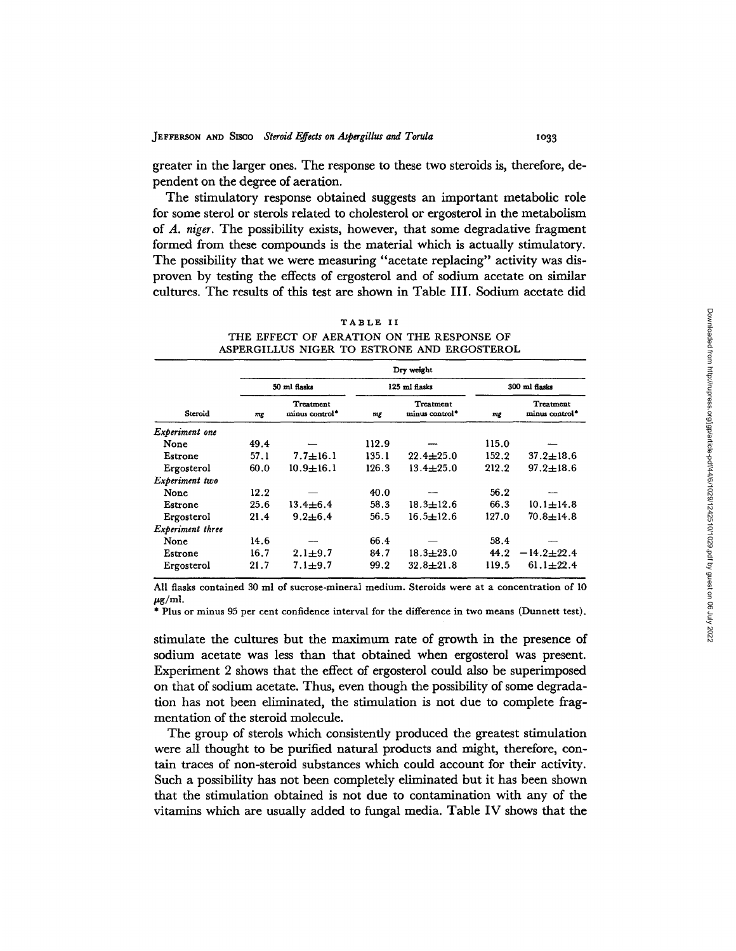greater in the larger ones. The response to these two steroids is, therefore, dependent on the degree of aeration.

The stimulatory response obtained suggests an important metabolic role for some sterol or sterols related to cholesterol or ergosterol in the metabolism of *A. niger.* The possibility exists, however, that some degradative fragment formed from these compounds is the material which is actually stimulatory. The possibility that we were measuring "acetate replacing" activity was disproven by testing the effects of ergosterol and of sodium acetate on similar cultures. The results of this test are shown in Table III. Sodium acetate did

| ASPERGILLUS NIGER TO ESTRONE AND ERGOSTEROL |      |                                         |       |                             |       |                             |  |  |  |
|---------------------------------------------|------|-----------------------------------------|-------|-----------------------------|-------|-----------------------------|--|--|--|
| Dry weight                                  |      |                                         |       |                             |       |                             |  |  |  |
|                                             |      | 50 ml flasks                            |       | 125 ml flasks               |       | 300 ml flasks               |  |  |  |
| Steroid                                     | mg   | Treatment<br>minus control <sup>*</sup> | mg    | Treatment<br>minus control* | mg    | Treatment<br>minus control* |  |  |  |
| Experiment one                              |      |                                         |       |                             |       |                             |  |  |  |
| None                                        | 49.4 |                                         | 112.9 |                             | 115.0 |                             |  |  |  |
| Estrone                                     | 57.1 | $7.7 \pm 16.1$                          | 135.1 | $22.4 \pm 25.0$             | 152.2 | $37.2 \pm 18.6$             |  |  |  |
| Ergosterol                                  | 60.0 | $10.9 \pm 16.1$                         | 126.3 | $13.4 + 25.0$               | 212.2 | $97.2 \pm 18.6$             |  |  |  |
| Experiment two                              |      |                                         |       |                             |       |                             |  |  |  |
| None                                        | 12.2 |                                         | 40.0  |                             | 56.2  |                             |  |  |  |
| Estrone                                     | 25.6 | $13.4 \pm 6.4$                          | 58.3  | $18.3 \pm 12.6$             | 66.3  | $10.1 + 14.8$               |  |  |  |
| Ergosterol                                  | 21.4 | $9.2 + 6.4$                             | 56.5  | $16.5 \pm 12.6$             | 127.0 | $70.8 \pm 14.8$             |  |  |  |
| Experiment three                            |      |                                         |       |                             |       |                             |  |  |  |
| None                                        | 14.6 |                                         | 66.4  |                             | 58.4  |                             |  |  |  |
| Estrone                                     | 16.7 | $2.1 + 9.7$                             | 84.7  | $18.3 + 23.0$               | 44.2  | $-14.2 + 22.4$              |  |  |  |
| Ergosterol                                  | 21.7 | $7.1 + 9.7$                             | 99.2  | $32.8 \pm 21.8$             | 119.5 | $61.1 + 22.4$               |  |  |  |

TABLE II

THE EFFECT OF AERATION ON THE RESPONSE OF

All flasks contained 30 ml of sucrose-mineral medium. Steroids were at a concentration of I0  $\mu$ g/ml.

\* Plus or minus 95 per cent confidence interval for the difference in two means (Dunnctt test).

stimulate the cultures but the maximum rate of growth in the presence of sodium acetate was less than that obtained when ergosterol was present. Experiment 2 shows that the effect of ergosterol could also be superimposed on that of sodium acetate. Thus, even though the possibility of some degradation has not been eliminated, the stimulation is not due to complete fragmentation of the steroid molecule.

The group of sterols which consistently produced the greatest stimulation were all thought to be purified natural products and might, therefore, contain traces of non-steroid substances which could account for their activity. Such a possibility has not been completely eliminated but it has been shown that the stimulation obtained is not due to contamination with any of the vitamins which are usually added to fungal media. Table IV shows that the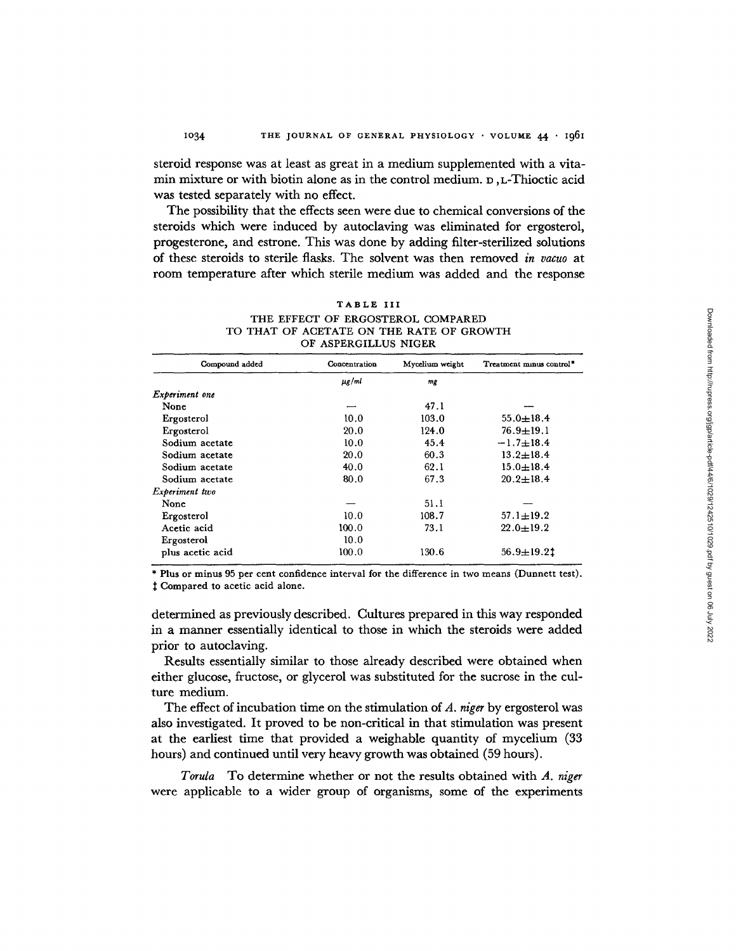steroid response was at least as great in a medium supplemented with a vitamin mixture or with biotin alone as in the control medium. D, L-Thioctic acid was tested separately with no effect.

The possibility that the effects seen were due to chemical conversions of the steroids which were induced by autoclaving was eliminated for ergosterol, progesterone, and estrone. This was done by adding filter-sterilized solutions of these steroids to sterile flasks. The solvent was then removed *in vacuo* at room temperature after which sterile medium was added and the response

| TABLE III                                |
|------------------------------------------|
| THE EFFECT OF ERGOSTEROL COMPARED        |
| TO THAT OF ACETATE ON THE RATE OF GROWTH |
| OF ASPERGILLUS NIGER                     |

| Compound added   | Concentration | Mycelium weight | Treatment minus control* |
|------------------|---------------|-----------------|--------------------------|
|                  | $\mu$ g/ml    | $m$ $g$         |                          |
| Experiment one   |               |                 |                          |
| None             |               | 47.1            |                          |
| Ergosterol       | 10.0          | 103.0           | $55.0 + 18.4$            |
| Ergosterol       | 20.0          | 124.0           | $76.9 + 19.1$            |
| Sodium acetate   | 10.0          | 45.4            | $-1.7 \pm 18.4$          |
| Sodium acetate   | 20.0          | 60.3            | $13.2 \pm 18.4$          |
| Sodium acetate   | 40.0          | 62.1            | $15.0 \pm 18.4$          |
| Sodium acetate   | 80.0          | 67.3            | $20.2 \pm 18.4$          |
| Experiment two   |               |                 |                          |
| None             |               | 51.1            |                          |
| Ergosterol       | 10.0          | 108.7           | $57.1 \pm 19.2$          |
| Acetic acid      | 100.0         | 73.1            | $22.0 + 19.2$            |
| Ergosterol       | 10.0          |                 |                          |
| plus acetic acid | 100.0         | 130.6           | $56.9 \pm 19.21$         |

\* Plus or minus 95 per cent confidence interval for the difference in two means (Dunnett test).  $~{\ddagger}$  Compared to acetic acid alone.

determined as previously described. Cultures prepared in this way responded in a manner essentially identical to those in which the steroids were added prior to autoclaving.

Results essentially similar to those already described were obtained when either glucose, fructose, or glycerol was substituted for the sucrose in the culture medium.

The effect of incubation time on the stimulation of *A. niger* by ergosterol was also investigated. It proved to be non-critical in that stimulation was present at the earliest time that provided a weighable quantity of mycelium (33 hours) and continued until very heavy growth was obtained (59 hours).

*Torula* To determine whether or not the results obtained with *A. niger*  were applicable to a wider group of organisms, some of the experiments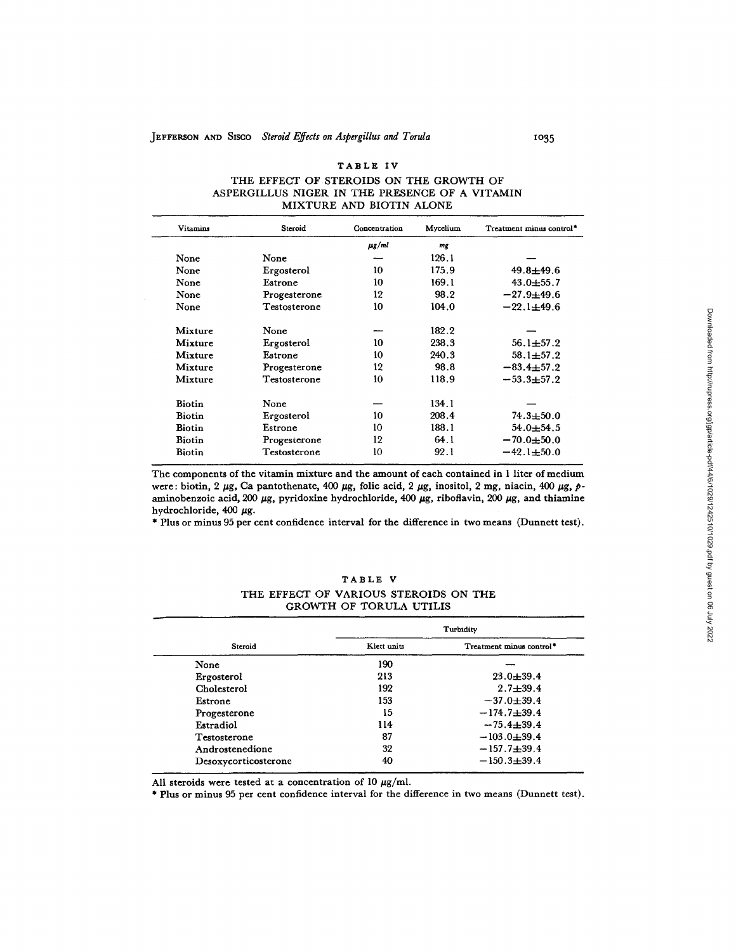#### **TABLE IV**

#### THE EFFECT OF STEROIDS ON THE GROWTH OF ASPERGILLUS NIGER IN THE PRESENCE OF A VITAMIN MIXTURE AND BIOTIN ALONE

| Vitamins      | Steroid      | Concentration | Mycelium | Treatment minus control* |
|---------------|--------------|---------------|----------|--------------------------|
|               |              | $\mu$ g/ml    | mg       |                          |
| None          | None         |               | 126.1    |                          |
| None          | Ergosterol   | 10            | 175.9    | $49.8 + 49.6$            |
| None          | Estrone      | 10            | 169.1    | $43.0 + 55.7$            |
| None          | Progesterone | 12            | 98.2     | $-27.9 + 49.6$           |
| None          | Testosterone | 10            | 104.0    | $-22.1 + 49.6$           |
| Mixture       | None         |               | 182.2    |                          |
| Mixture       | Ergosterol   | 10            | 238.3    | $56.1 + 57.2$            |
| Mixture       | Estrone      | 10            | 240.3    | $58.1 + 57.2$            |
| Mixture       | Progesterone | 12            | 98.8     | $-83.4 \pm 57.2$         |
| Mixture       | Testosterone | 10            | 118.9    | $-53.3 + 57.2$           |
| <b>Biotin</b> | None         |               | 134.1    |                          |
| Biotin        | Ergosterol   | 10            | 208.4    | $74.3 + 50.0$            |
| <b>Biotin</b> | Estrone      | 10            | 188.1    | $54.0 + 54.5$            |
| <b>Biotin</b> | Progesterone | 12            | 64.1     | $-70.0 + 50.0$           |
| Biotin        | Testosterone | 10            | 92.1     | $-42.1 + 50.0$           |

The components of the vitamin mixture and the amount of each contained in 1 liter of medium were: biotin, 2  $\mu$ g, Ca pantothenate, 400  $\mu$ g, folic acid, 2  $\mu$ g, inositol, 2 mg, niacin, 400  $\mu$ g, paminobenzoic acid, 200  $\mu$ g, pyridoxine hydrochloride, 400  $\mu$ g, riboflavin, 200  $\mu$ g, and thiamine hydrochloride,  $400 \mu$ g.

\* Plus or minus 95 per cent confidence interval for the difference in two means (Dunnett test).

## TABLE V THE EFFECT OF VARIOUS STEROIDS ON THE GROWTH OF TORULA UTILIS

|                      | Turbidity   |                          |  |  |
|----------------------|-------------|--------------------------|--|--|
| Steroid              | Klett units | Treatment minus control* |  |  |
| None                 | 190         |                          |  |  |
| Ergosterol           | 213         | $23.0 + 39.4$            |  |  |
| Cholesterol          | 192         | $2.7 + 39.4$             |  |  |
| Estrone              | 153         | $-37.0 \pm 39.4$         |  |  |
| Progesterone         | 15          | $-174.7+39.4$            |  |  |
| Estradiol            | 114         | $-75.4 \pm 39.4$         |  |  |
| Testosterone         | 87          | $-103.0 \pm 39.4$        |  |  |
| Androstenedione      | 32          | $-157.7+39.4$            |  |  |
| Desoxycorticosterone | 40          | $-150.3 \pm 39.4$        |  |  |

All steroids were tested at a concentration of 10  $\mu$ g/ml.

\* Plus or minus 95 per cent confidence interval for the difference in two means (Dunnett test).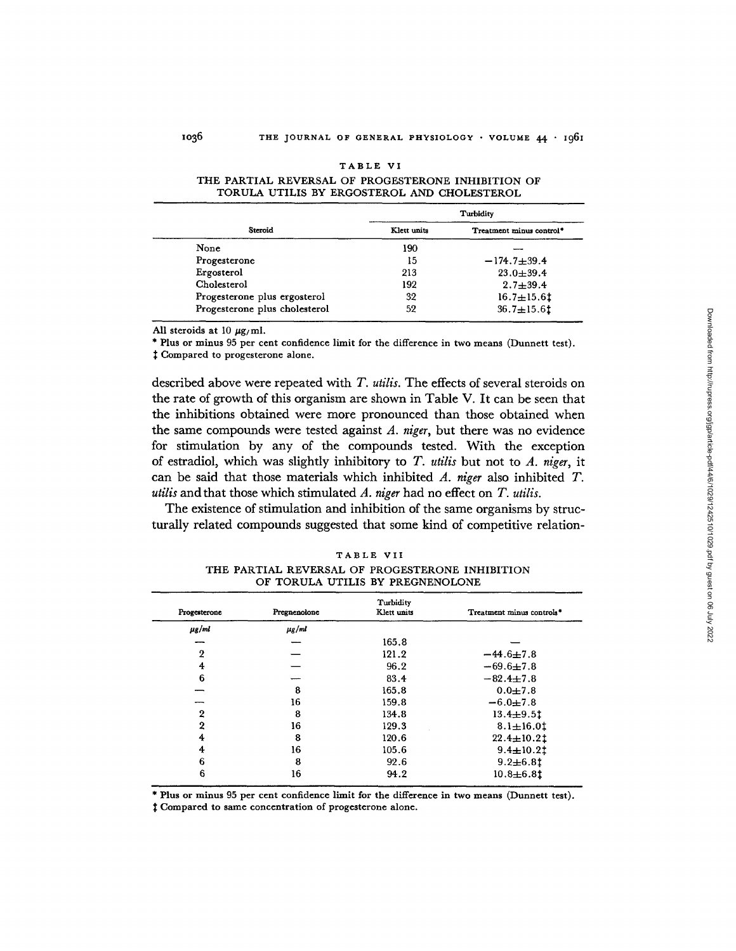|  |  | ABLE |  |  | ., |  |
|--|--|------|--|--|----|--|
|--|--|------|--|--|----|--|

THE PARTIAL REVERSAL OF PROGESTERONE INHIBITION OF TORULA UTILIS BY ERGOSTEROL AND CHOLESTEROL

|                               | Turbidity   |                          |  |  |  |
|-------------------------------|-------------|--------------------------|--|--|--|
| Steroid                       | Klett units | Treatment minus control* |  |  |  |
| None                          | 190         |                          |  |  |  |
| Progesterone                  | 15          | $-174.7 + 39.4$          |  |  |  |
| Ergosterol                    | 213         | $23.0 + 39.4$            |  |  |  |
| Cholesterol                   | 192         | $2.7 + 39.4$             |  |  |  |
| Progesterone plus ergosterol  | 32          | $16.7 \pm 15.61$         |  |  |  |
| Progesterone plus cholesterol | 52          | $36.7 \pm 15.61$         |  |  |  |

All steroids at 10  $\mu$ g/ml.

\* Plus or minus 95 per cent confidence limit for the difference in two means (Dunnett test).

 $‡$  Compared to progesterone alone.

described above were repeated with *T. utilis.* The effects of several steroids on the rate of growth of this organism are shown in Table V. It can be seen that the inhibitions obtained were more pronounced than those obtained when the same compounds were tested against *A. niger,* but there was no evidence for stimulation by any of the compounds tested. With the exception of estradiol, which was slightly inhibitory to *T. utilis* but not to *A. niger,* it can be said that those materials which inhibited *A. niger* also inhibited T. *utilis* and that those which stimulated *A. niger* had no effect on *T. utilis.* 

The existence of stimulation and inhibition of the same organisms by structurally related compounds suggested that some kind of competitive relation-

| Progesterone     | Pregnenolone | Turbidity<br>Klett units | Treatment minus controls* |
|------------------|--------------|--------------------------|---------------------------|
| $\mu$ g/ml       | $\mu$ g/ml   |                          |                           |
|                  |              | 165.8                    |                           |
| $\mathbf 2$      |              | 121.2                    | $-44.6 \pm 7.8$           |
| 4                |              | 96.2                     | $-69.6 \pm 7.8$           |
| 6                |              | 83.4                     | $-82.4 \pm 7.8$           |
|                  | 8            | 165.8                    | $0.0 + 7.8$               |
|                  | 16           | 159.8                    | $-6.0 + 7.8$              |
| $\boldsymbol{2}$ | 8            | 134.8                    | $13.4 \pm 9.51$           |
| $\boldsymbol{2}$ | 16           | 129.3                    | $8.1 \pm 16.01$           |
| 4                | 8            | 120.6                    | $22.4 \pm 10.21$          |
| 4                | 16           | 105.6                    | $9.4 \pm 10.21$           |
| 6                | 8            | 92.6                     | $9.2 + 6.81$              |
| 6                | 16           | 94.2                     | $10.8 + 6.81$             |

TABLE VII THE PARTIAL REVERSAL OF PROGESTERONE INHIBITION OF TORULA UTILIS BY PREGNENOLONE

\* Plus or minus 95 per cent confidence limit for the difference in **two means** (Dunnett test).

Compared to same concentration of progesterone alone.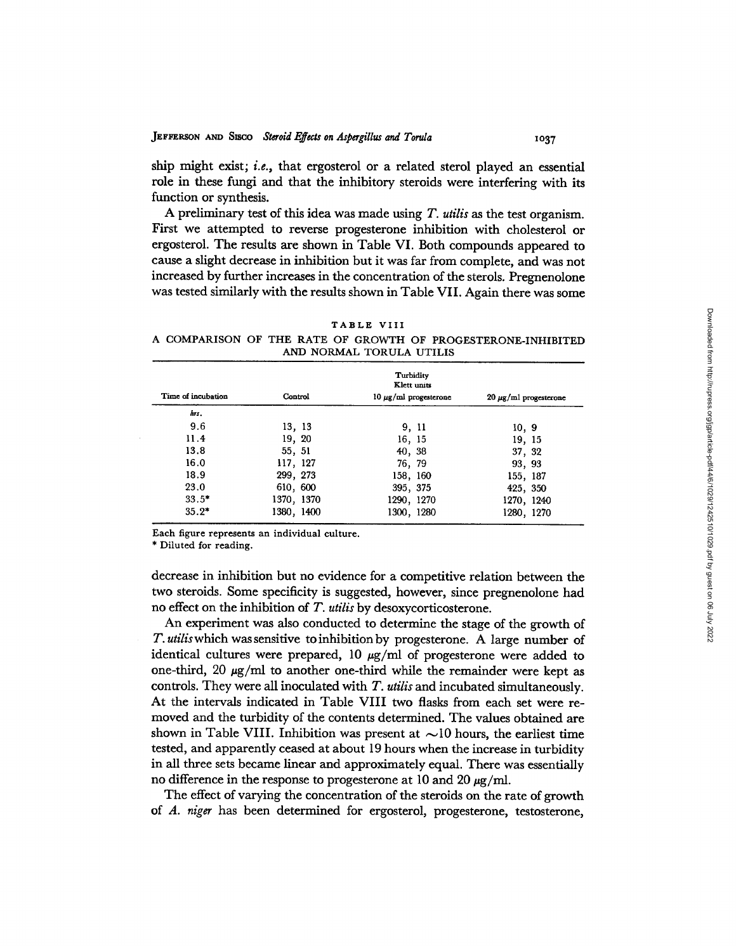ship might exist; *i.e.,* that ergosterol or a related sterol played an essential role in these fungi and that the inhibitory steroids were interfering with its function or synthesis.

A preliminary test of this idea was made using *T*. *utilis* as the test organism. First we attempted to reverse progesterone inhibition with cholesterol or ergosterol. The results are shown in Table VI. Both compounds appeared to cause a slight decrease in inhibition but it was far from complete, and was not increased by further increases in the concentration of the sterols. Pregnenolone was tested similarly with the results shown in Table VII. Again there was some

|  |  |  |  |  |  | TABLE VIII |  |  |  |  |
|--|--|--|--|--|--|------------|--|--|--|--|
|--|--|--|--|--|--|------------|--|--|--|--|

A COMPARISON OF THE RATE OF GROWTH OF PROGESTERONE-INHIBITED AND NORMAL TORULA UTILIS

|                    | Turbidity<br>Klett units |                            |                            |  |  |
|--------------------|--------------------------|----------------------------|----------------------------|--|--|
| Time of incubation | Control                  | 10 $\mu$ g/ml progesterone | $20 \mu g/ml$ progesterone |  |  |
| hrs.               |                          |                            |                            |  |  |
| 9.6                | 13, 13                   | 9, 11                      | 10,9                       |  |  |
| 11.4               | 19, 20                   | 16, 15                     | 19, 15                     |  |  |
| 13.8               | 55, 51                   | 40, 38                     | 37, 32                     |  |  |
| 16.0               | 117, 127                 | 76, 79                     | 93, 93                     |  |  |
| 18.9               | 299, 273                 | 158, 160                   | 155, 187                   |  |  |
| 23.0               | 610, 600                 | 395, 375                   | 425, 350                   |  |  |
| $33.5*$            | 1370, 1370               | 1290, 1270                 | 1270, 1240                 |  |  |
| $35.2*$            | 1380, 1400               | 1300, 1280                 | 1280, 1270                 |  |  |

Each figure represents an individual culture.

\* Diluted for reading.

decrease in inhibition but no evidence for a competitive relation between the two steroids. Some specificity is suggested, however, since pregnenolone had no effect on the inhibition of *T. utilis* by desoxycorticosterone.

An experiment was also conducted to determine the stage of the growth of *T. utiliswhich* was sensitive to inhibition by progesterone. A large number of identical cultures were prepared, 10  $\mu$ g/ml of progesterone were added to one-third,  $20~\mu$ g/ml to another one-third while the remainder were kept as controls. They were all inoculated with *T. utilis* and incubated simultaneously. At the intervals indicated in Table VIII two flasks from each set were removed and the turbidity of the contents determined. The values obtained are shown in Table VIII. Inhibition was present at  $\sim$ 10 hours, the earliest time tested, and apparently ceased at about 19 hours when the increase in turbidity in all three sets became linear and approximately equal. There was essentially no difference in the response to progesterone at 10 and 20  $\mu$ g/ml.

The effect of varying the concentration of the steroids on the rate of growth of *A. niger* has been determined for ergosterol, progesterone, testosterone,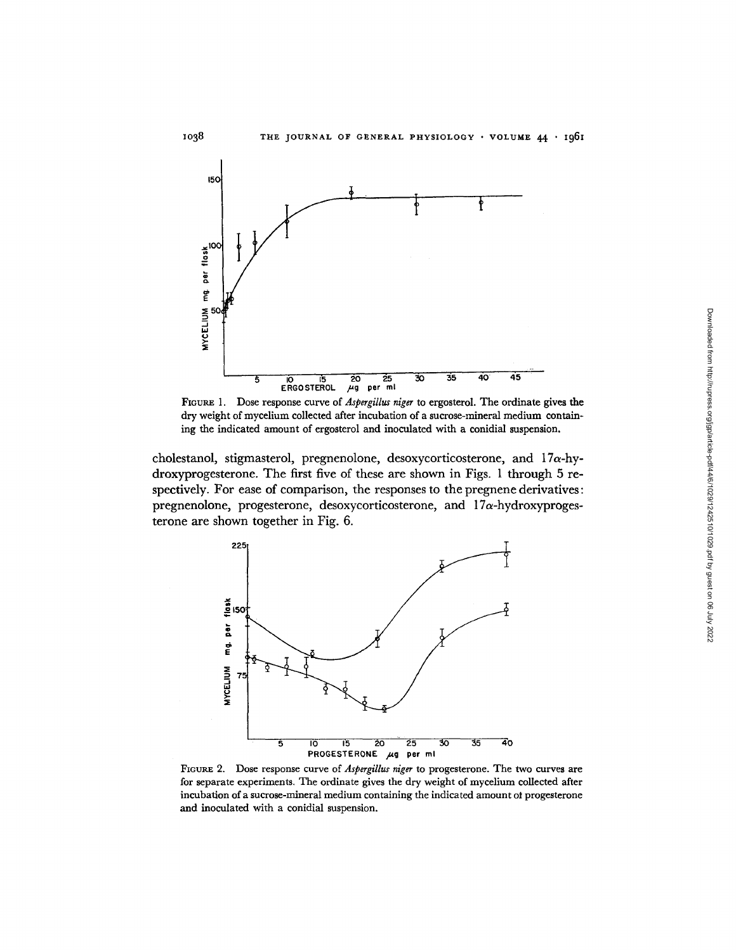

1038

FIGURE 1. Dose response curve of *Aspergillus niger* to ergosterol. The ordinate gives the dry weight of mycelium collected after incubation of a sucrose-mineral medium containing the indicated amount of ergosterol and inoculated with a conidial suspension.

cholestanol, stigmasterol, pregnenolone, desoxycorticosterone, and  $17\alpha$ -hydroxyprogesterone. The first five of these are shown in Figs. 1 through 5 respectively. For ease of comparison, the responses to the pregnene derivatives: pregnenolone, progesterone, desoxycorticosterone, and  $17\alpha$ -hydroxyprogesterone are shown together in Fig. 6.



FIGURE 2. Dose response curve of *Aspergillus niger* to progesterone. The two curves are for separate experiments. The ordinate gives the dry weight of mycelium collected after incubation of a sucrose-mineral medium containing the indicated amount ot progesterone and inoculated with a conidial suspension.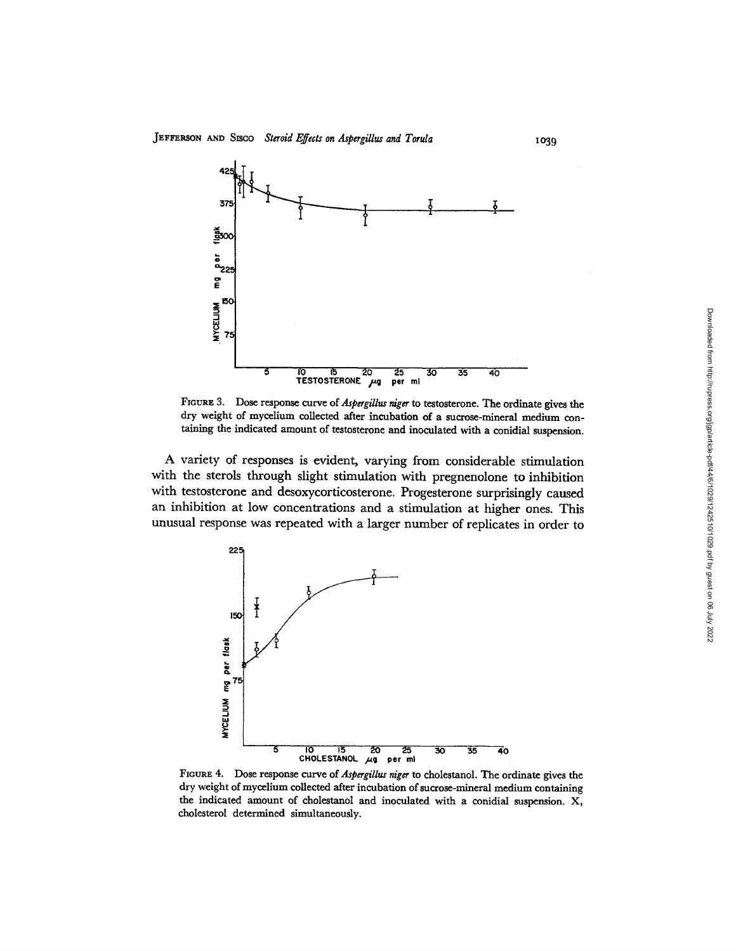

FIGURE 3. Dose response curve of *Aspergillus niger* to testosterone. The ordinate gives the dry weight of mycelium collected after incubation of a sucrose-mineral medium containing the indicated amount of testosterone and inoculated with a conidial suspension.

A variety of responses is evident, varying from considerable stimulation with the sterols through slight stimulation with pregnenolone to inhibition with testosterone and desoxycorticosterone. Progesterone surprisingly caused an inhibition at low concentrations and a stimulation at higher ones. This unusual response was repeated with a larger number of replicates in order to



FIGURE 4. Dose response curve of *Aspergillus niger* to cholestanol. The ordinate gives the dry weight of mycelium collected after incubation of sucrose-mineral medium containing the indicated amount of cholestanol and inoculated with a conidial suspension. X, cholesterol determined simultaneously.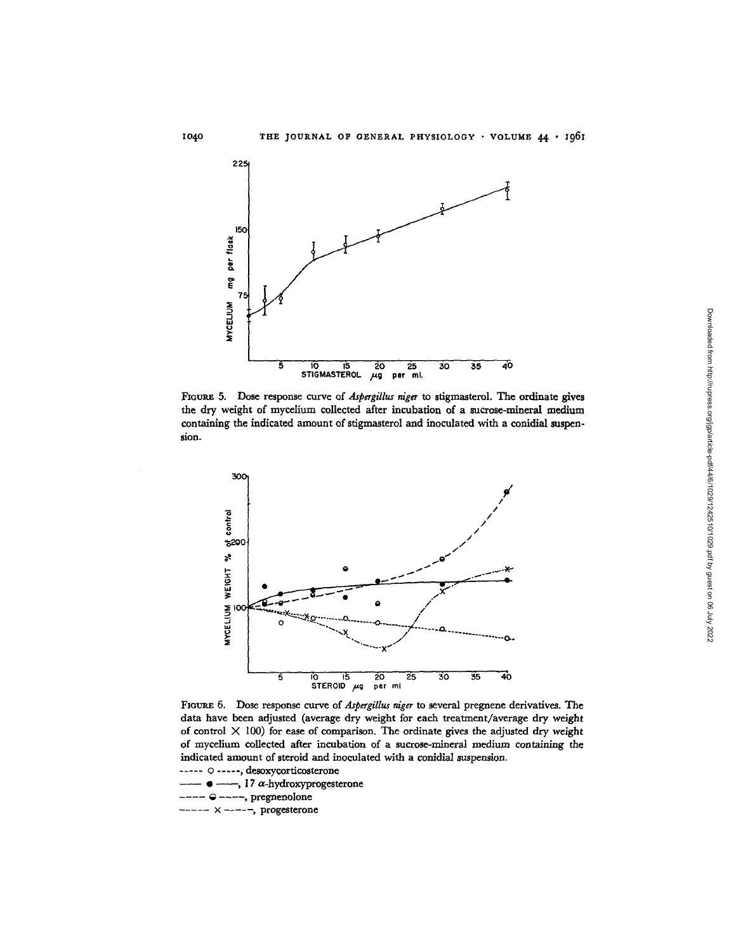

FIGURE 5. Dose response curve of *Aspergillus niger* to stigmasterol. The ordinate gives the dry weight of mycelium collected after incubation of a sucrose-mineral medium containing the indicated amount of sfigmasterol and inoculated with a conidial suspen sion.



FIGURE 6. Dose response curve of *Aspergillus niger* to several pregnene derivatives. The data have been adjusted (average dry weight for each treatment/average dry weight of control  $\times$  100) for ease of comparison. The ordinate gives the adjusted dry weight of mycelium collected after incubation of a sucrose-mineral medium containing the indicated amount of steroid and inoculated with a conidial suspension.

...... O ....., desoxycorticosterone **• ~, 17** a-hydroxyprogesterone  $\ominus$   $---$ , pregnenolone ---- x -----, progesterone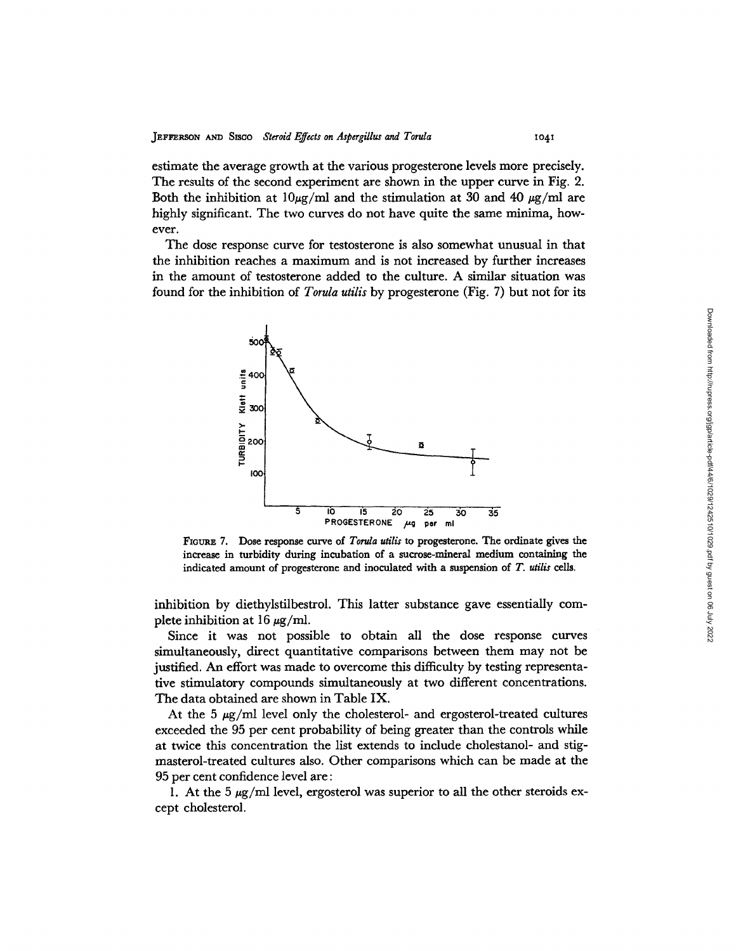estimate the average growth at the various progesterone levels more precisely. The results of the second experiment are shown in the upper curve in Fig. 2. Both the inhibition at  $10~\mu$ g/ml and the stimulation at 30 and 40  $~\mu$ g/ml are highly significant. The two curves do not have quite the same minima, however.

The dose response curve for testosterone is also somewhat unusual in that the inhibition reaches a maximum and is not increased by further increases in the amount of testosterone added to the culture. A similar situation was found for the inhibition of *Torula utilis* by progesterone (Fig. 7) but not for its



FIGURE 7. Dose response curve of *Torula utilis* to progesterone. The ordinate gives the increase in turbidity during incubation of a sucrose-mineral medium containing the indicated amount of progesterone and inoculated with a suspension of *T. utilis* cells.

inhibition by diethylstilbestrol. This latter substance gave essentially complete inhibition at 16  $\mu$ g/ml.

Since it was not possible to obtain all the dose response curves simultaneously, direct quantitative comparisons between them may not be justified. An effort was made to overcome this difficulty by testing representative stimulatory compounds simultaneously at two different concentrations. The data obtained are shown in Table IX.

At the 5  $\mu$ g/ml level only the cholesterol- and ergosterol-treated cultures exceeded the 95 per cent probability of being greater than the controls while at twice this concentration the list extends to include cholestanol- and stigmasterol-treated cultures also. Other comparisons which can be made at the 95 per cent confidence level are :

1. At the 5  $\mu$ g/ml level, ergosterol was superior to all the other steroids except cholesterol.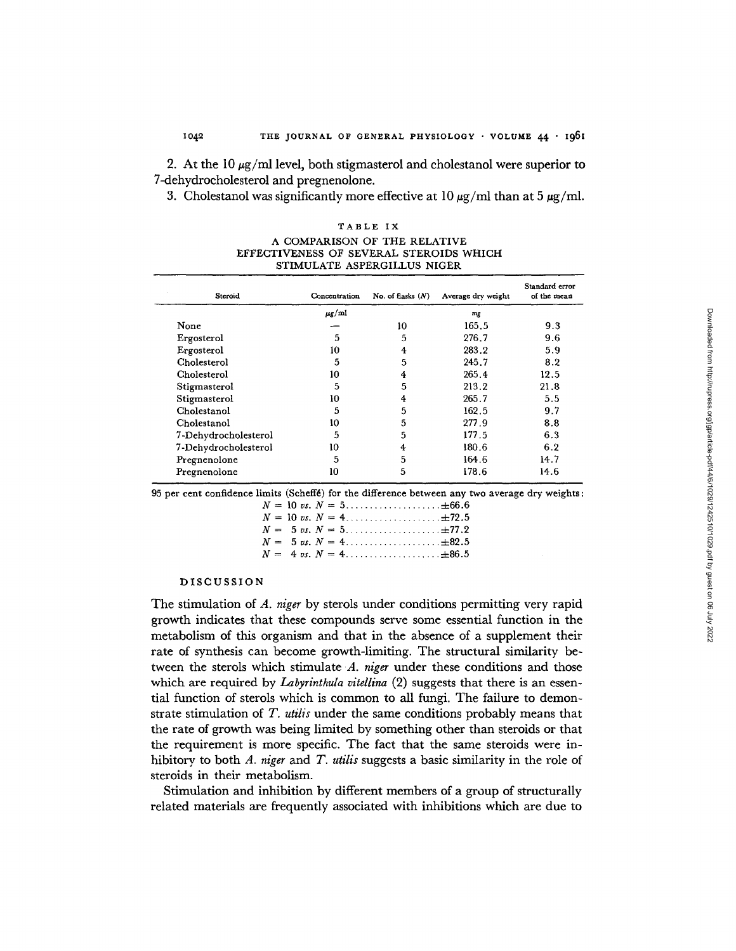2. At the  $10 \mu g/ml$  level, both stigmasterol and cholestanol were superior to **7-dehydrocholesterol and pregnenolone.** 

3. Cholestanol was significantly more effective at  $10 \mu g/ml$  than at  $5 \mu g/ml$ .

TABLE IX A COMPARISON OF THE RELATIVE EFFECTIVENESS OF SEVERAL STEROIDS WHICH STIMULATE ASPERGILLUS NIGER

| Steroid              | Concentration | No. of flasks $(N)$ | Average dry weight | Standard error<br>of the mean |
|----------------------|---------------|---------------------|--------------------|-------------------------------|
|                      | $\mu$ g/ml    |                     | mg                 |                               |
| None                 |               | 10                  | 165.5              | 9.3                           |
| Ergosterol           | 5             | 5                   | 276.7              | 9.6                           |
| Ergosterol           | 10            | 4                   | 283.2              | 5.9                           |
| Cholesterol          | 5             | 5                   | 245.7              | 8.2                           |
| Cholesterol          | 10            | 4                   | 265.4              | 12.5                          |
| Stigmasterol         | 5             | 5                   | 213.2              | 21.8                          |
| Stigmasterol         | 10            | 4                   | 265.7              | 5.5                           |
| Cholestanol          | 5             | 5                   | 162.5              | 9.7                           |
| Cholestanol          | 10            | 5                   | 277.9              | 8.8                           |
| 7-Dehydrocholesterol | 5             | 5                   | 177.5              | 6.3                           |
| 7-Dehydrocholesterol | 10            | 4                   | 180.6              | 6.2                           |
| Pregnenolone         | 5             | 5                   | 164.6              | 14.7                          |
| Pregnenolone         | 10            | 5                   | 178.6              | 14.6                          |

95 **per cent confidence limits (Scheff6) for the difference between any two average dry weights** :

## DISCUSSION

**The stimulation of** *A. niger* **by sterols under conditions permitting very rapid growth indicates that these compounds serve some essential function in the metabolism of this organism and that in the absence of a supplement their rate of synthesis can become growth-limiting. The structural similarity between the sterols which stimulate** *A. niger* **under these conditions and those which are required by** *Labyrinthula vitellina* **(2) suggests that there is an essential function of sterols which is common to all fungi. The failure to demonstrate stimulation of** *T. utilis* **under the same conditions probably means that the rate of growth was being limited by something other than steroids or that the requirement is more specific. The fact that the same steroids were inhibitory to both** *A. niger* **and** *T. utilis* **suggests a basic similarity in the role of steroids in their metabolism.** 

**Stimulation and inhibition by different members of a group of structurally related materials are frequently associated with inhibitions which are due to**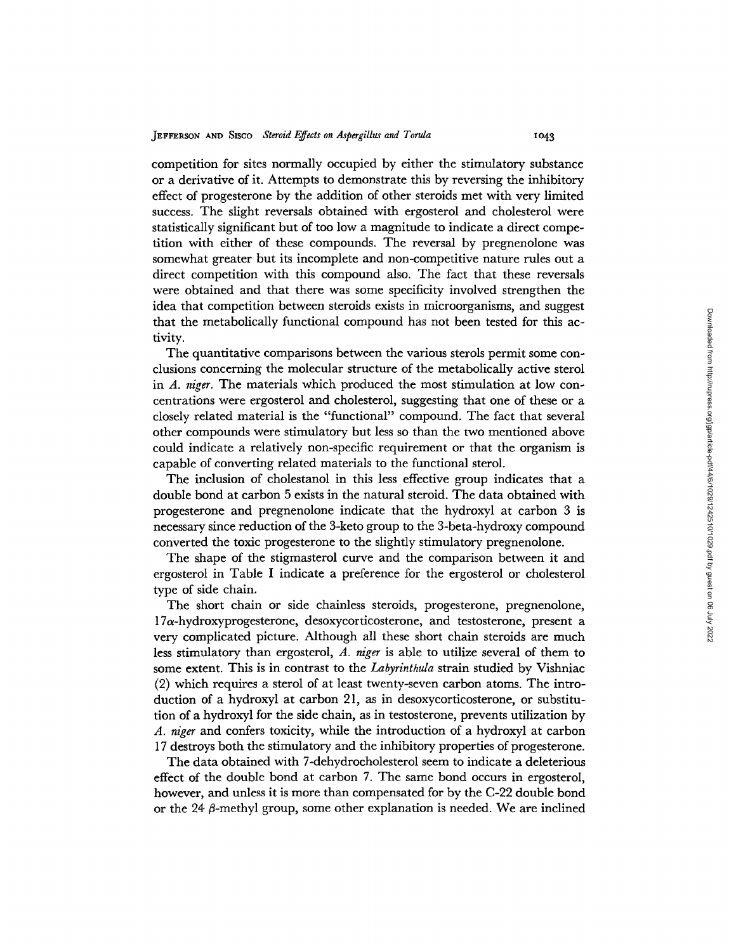competition for sites normally occupied by either the stimulatory substance or a derivative of it. Attempts to demonstrate this by reversing the inhibitory effect of progesterone by the addition of other steroids met with very limited success. The slight reversals obtained with ergosterol and cholesterol were statistically significant but of too low a magnitude to indicate a direct competition with either of these compounds. The reversal by pregnenolone was somewhat greater but its incomplete and non-competitive nature rules out a direct competition with this compound also. The fact that these reversals were obtained and that there was some specificity involved strengthen the idea that competition between steroids exists in microorganisms, and suggest that the metabolically functional compound has not been tested for this activity.

The quantitative comparisons between the various sterols permit some conclusions concerning the molecular structure of the metabolically active sterol in *A. niger.* The materials which produced the most stimulation at low concentrations were ergosterol and cholesterol, suggesting that one of these or a closely related material is the "functional" compound. The fact that several other compounds were stimulatory but less so than the two mentioned above could indicate a relatively non-specific requirement or that the organism is capable of converting related materials to the functional sterol.

The inclusion of cholestanol in this less effective group indicates that a double bond at carbon 5 exists in the natural steroid. The data obtained with progesterone and pregnenolone indicate that the hydroxyl at carbon 3 is necessary since reduction of the 3-keto group to the 3-beta-hydroxy compound converted the toxic progesterone to the slightly stimulatory pregnenolone.

The shape of the stigmasterol curve and the comparison between it and ergosterol in Table I indicate a preference for the ergosterol or cholesterol type of side chain.

The short chain or side chainless steroids, progesterone, pregnenolone,  $17\alpha$ -hydroxyprogesterone, desoxycorticosterone, and testosterone, present a very complicated picture. Although all these short chain steroids are much less stimulatory than ergosterol, *A. niger* is able to utilize several of them to some extent. This is in contrast to the *Labyrinthula* strain studied by Vishniac (2) which requires a sterol of at least twenty-seven carbon atoms. The introduction of a hydroxyl at carbon 21, as in desoxycorticosterone, or substitution of a hydroxyl for the side chain, as in testosterone, prevents utilization by *A. niger* and confers toxicity, while the introduction of a hydroxyl at carbon 17 destroys both the stimulatory and the inhibitory properties of progesterone.

The data obtained with 7-dehydrocholesterol seem to indicate a deleterious effect of the double bond at carbon 7. The same bond occurs in ergosterol, however, and unless it is more than compensated for by the C-22 double bond or the 24  $\beta$ -methyl group, some other explanation is needed. We are inclined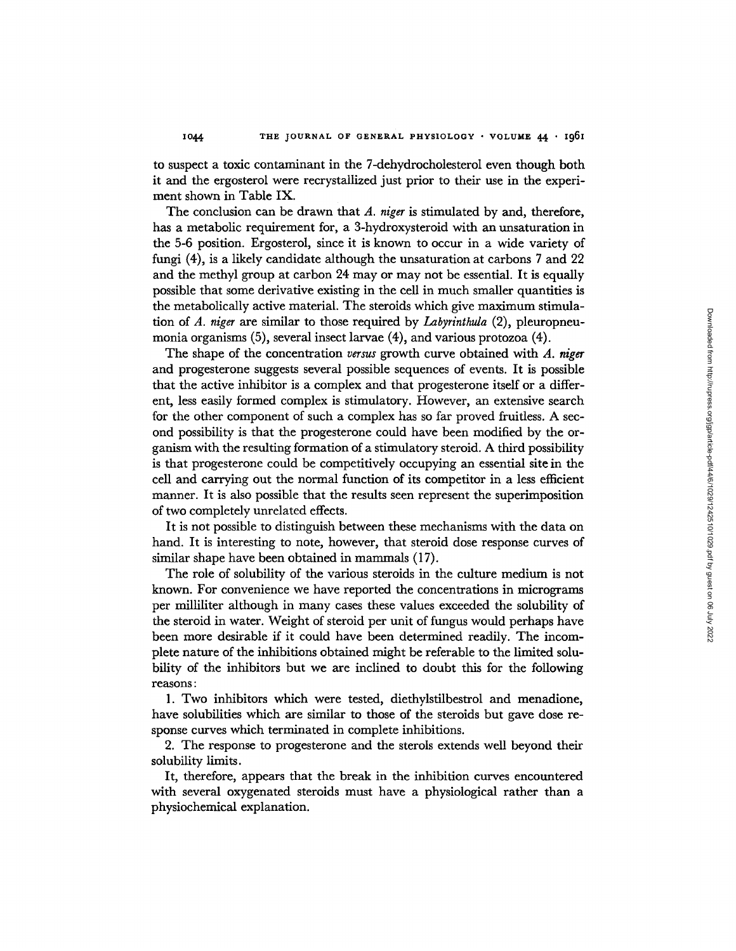to suspect a toxic contaminant in the 7-dehydrocholesterol even though both it and the ergosterol were recrystallized just prior to their use in the experiment shown in Table IX.

The conclusion can be drawn that *A. niger* is stimulated by and, therefore, has a metabolic requirement for, a 3-hydroxysteroid with an unsaturation in the 5-6 position. Ergosterol, since it is known to occur in a wide variety of fungi (4), is a likely candidate although the unsaturation at carbons 7 and *22*  and the methyl group at carbon 24 may or may not be essential. It is equally possible that some derivative existing in the cell in much smaller quantities is the metabolically active material. The steroids which give maximum stimulation of *A. niger* are similar to those required by *Labyrinthula* (2), pleuropneumonia organisms (5), several insect larvae (4), and various protozoa (4).

The shape of the concentration *versus* growth curve obtained with *A. niger*  and progesterone suggests several possible sequences of events. It is possible that the active inhibitor is a complex and that progesterone itself or a different, less easily formed complex is stimulatory. However, an extensive search for the other component of such a complex has so far proved fruitless. A second possibility is that the progesterone could have been modified by the organism with the resulting formation of a stimulatory steroid. A third possibility is that progesterone could be competitively occupying an essential site in the cell and carrying out the normal function of its competitor in a less efficient manner. It is also possible that the results seen represent the superimposition of two completely unrelated effects.

It is not possible to distinguish between these mechanisms with the data on hand. It is interesting to note, however, that steroid dose response curves of similar shape have been obtained in mammals (17).

The role of solubility of the various steroids in the culture medium is not known. For convenience we have reported the concentrations in micrograms per milliliter although in many cases these values exceeded the solubility of the steroid in water. Weight of steroid per unit of fungus would perhaps have been more desirable if it could have been determined readily. The incomplete nature of the inhibitions obtained might be referable to the limited solubility of the inhibitors but we are inclined to doubt this for the following reasons:

1. Two inhibitors which were tested, diethylstilbestrol and menadione, have solubilities which are similar to those of the steroids but gave dose response curves which terminated in complete inhibitions.

2. The response to progesterone and the sterols extends well beyond their solubility limits.

It, therefore, appears that the break in the inhibition curves encountered with several oxygenated steroids must have a physiological rather than a physiochemical explanation.